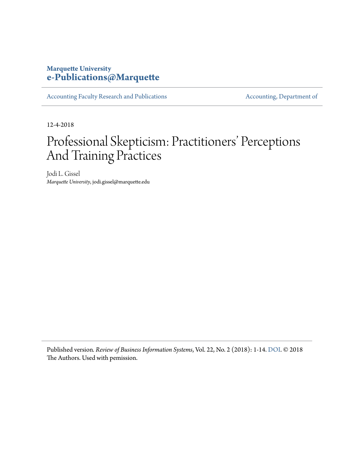# **Marquette University [e-Publications@Marquette](https://epublications.marquette.edu)**

[Accounting Faculty Research and Publications](https://epublications.marquette.edu/account_fac) **[Accounting, Department of](https://epublications.marquette.edu/account)** 

12-4-2018

# Professional Skepticism: Practitioners' Perceptions And Training Practices

Jodi L. Gissel *Marquette University*, jodi.gissel@marquette.edu

Published version*. Review of Business Information Systems*, Vol. 22, No. 2 (2018): 1-14. [DOI](https://doi.org/10.19030/rbis.v22i2.10224). © 2018 The Authors. Used with pemission.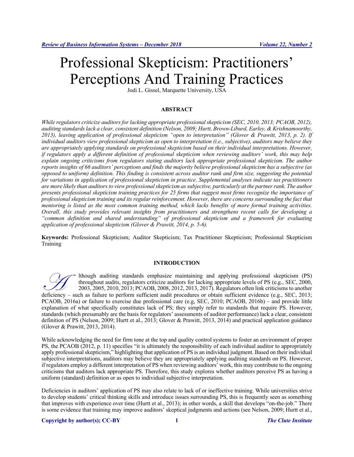# Professional Skepticism: Practitioners' Perceptions And Training Practices

Jodi L. Gissel, Marquette University, USA

# **ABSTRACT**

*While regulators criticize auditors for lacking appropriate professional skepticism (SEC, 2010, 2013; PCAOB, 2012), auditing standards lack a clear, consistent definition (Nelson, 2009; Hurtt, Brown-Liburd, Earley, & Krishnamoorthy, 2013), leaving application of professional skepticism "open to interpretation" (Glover & Prawitt, 2013, p. 2). If individual auditors view professional skepticism as open to interpretation (i.e., subjective), auditors may believe they are appropriately applying standards on professional skepticism based on their individual interpretations. However, if regulators apply a different definition of professional skepticism when reviewing auditors' work, this may help explain ongoing criticisms from regulators stating auditors lack appropriate professional skepticism. The author reports insights of 66 auditors' perceptions and finds the majority believe professional skepticism has a subjective (as opposed to uniform) definition. This finding is consistent across auditor rank and firm size, suggesting the potential for variations in application of professional skepticism in practice. Supplemental analyses indicate tax practitioners are more likely than auditors to view professional skepticism as subjective, particularly at the partner rank. The author presents professional skepticism training practices for 25 firms that suggest most firms recognize the importance of professional skepticism training and its regular reinforcement. However, there are concerns surrounding the fact that mentoring is listed as the most common training method, which lacks benefits of more formal training activities. Overall, this study provides relevant insights from practitioners and strengthens recent calls for developing a "common definition and shared understanding" of professional skepticism and a framework for evaluating application of professional skepticism (Glover & Prawitt, 2014, p. 5-6).*

**Keywords:** Professional Skepticism; Auditor Skepticism; Tax Practitioner Skepticism; Professional Skepticism Training

### **INTRODUCTION**

lthough auditing standards emphasize maintaining and applying professional skepticism (PS) throughout audits, regulators criticize auditors for lacking appropriate levels of PS (e.g., SEC, 2000, 2003, 2005, 2010, 2013; PCAOB, 2008, 2012, 2013, 2017). Regulators often link criticisms to another deficiency – such as failure to perform sufficient audit procedures or obtain sufficient evidence (e.g., SEC, 2000, 2003, 2005, 2010, 2013; PCAOB, 2008, 2012, 2013, 2017). Regulators often link criticisms to another defici PCAOB, 2016a) or failure to exercise due professional care (e.g, SEC, 2010; PCAOB, 2016b) – and provide little explanation of what specifically constitutes lack of PS; they simply refer to standards that require PS. However, standards (which presumably are the basis for regulators' assessments of auditor performance) lack a clear, consistent definition of PS (Nelson, 2009; Hurtt et al., 2013; Glover & Prawitt, 2013, 2014) and practical application guidance (Glover & Prawitt, 2013, 2014).

While acknowledging the need for firm tone at the top and quality control systems to foster an environment of proper PS, the PCAOB (2012, p. 11) specifies "it is ultimately the responsibility of each individual auditor to appropriately apply professional skepticism," highlighting that application of PS is an individual judgment. Based on their individual subjective interpretations, auditors may believe they are appropriately applying auditing standards on PS. However, if regulators employ a different interpretation of PS when reviewing auditors' work, this may contribute to the ongoing criticisms that auditors lack appropriate PS. Therefore, this study explores whether auditors perceive PS as having a uniform (standard) definition or as open to individual subjective interpretation.

Deficiencies in auditors' application of PS may also relate to lack of or ineffective training. While universities strive to develop students' critical thinking skills and introduce issues surrounding PS, this is frequently seen as something that improves with experience over time (Hurtt et al., 2013); in other words, a skill that develops "on-the-job." There is some evidence that training may improve auditors' skeptical judgments and actions (see Nelson, 2009; Hurtt et al.,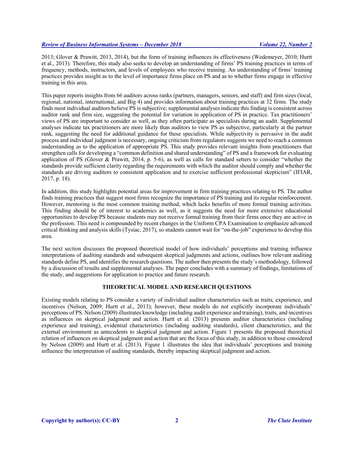2013; Glover & Prawitt, 2013, 2014), but the form of training influences its effectiveness (Wedemeyer, 2010; Hurtt et al., 2013). Therefore, this study also seeks to develop an understanding of firms' PS training practices in terms of frequency, methods, instructors, and levels of employees who receive training. An understanding of firms' training practices provides insight as to the level of importance firms place on PS and as to whether firms engage in effective training in this area.

This paper reports insights from 66 auditors across ranks (partners, managers, seniors, and staff) and firm sizes (local, regional, national, international, and Big 4) and provides information about training practices at 32 firms. The study finds most individual auditors believe PS is subjective; supplemental analyses indicate this finding is consistent across auditor rank and firm size, suggesting the potential for variation in application of PS in practice. Tax practitioners' views of PS are important to consider as well, as they often participate as specialists during an audit. Supplemental analyses indicate tax practitioners are more likely than auditors to view PS as subjective, particularly at the partner rank, suggesting the need for additional guidance for these specialists. While subjectivity is pervasive in the audit process and individual judgment is necessary, ongoing criticism from regulators suggests we need to reach a common understanding as to the application of appropriate PS. This study provides relevant insights from practitioners that strengthen calls for developing a "common definition and shared understanding" of PS and a framework for evaluating application of PS (Glover & Prawitt, 2014, p. 5-6), as well as calls for standard setters to consider "whether the standards provide sufficient clarity regarding the requirements with which the auditor should comply and whether the standards are driving auditors to consistent application and to exercise sufficient professional skepticism" (IFIAR, 2017, p. 18).

In addition, this study highlights potential areas for improvement in firm training practices relating to PS. The author finds training practices that suggest most firms recognize the importance of PS training and its regular reinforcement. However, mentoring is the most common training method, which lacks benefits of more formal training activities. This finding should be of interest to academics as well, as it suggests the need for more extensive educational opportunities to develop PS because students may not receive formal training from their firms once they are active in the profession. This need is compounded by recent changes in the Uniform CPA Examination to emphasize advanced critical thinking and analysis skills (Tysiac, 2017), so students cannot wait for "on-the-job" experience to develop this area.

The next section discusses the proposed theoretical model of how individuals' perceptions and training influence interpretations of auditing standards and subsequent skeptical judgments and actions, outlines how relevant auditing standards define PS, and identifies the research questions. The author then presents the study's methodology, followed by a discussion of results and supplemental analyses. The paper concludes with a summary of findings, limitations of the study, and suggestions for application to practice and future research.

# **THEORETICAL MODEL AND RESEARCH QUESTIONS**

Existing models relating to PS consider a variety of individual auditor characteristics such as traits, experience, and incentives (Nelson, 2009; Hurtt et al., 2013); however, these models do not explicitly incorporate individuals' perceptions of PS. Nelson (2009) illustrates knowledge (including audit experience and training), traits, and incentives as influences on skeptical judgment and action. Hurtt et al. (2013) presents auditor characteristics (including experience and training), evidential characteristics (including auditing standards), client characteristics, and the external environment as antecedents to skeptical judgment and action. Figure 1 presents the proposed theoretical relation of influences on skeptical judgment and action that are the focus of this study, in addition to those considered by Nelson (2009) and Hurtt et al. (2013). Figure 1 illustrates the idea that individuals' perceptions and training influence the interpretation of auditing standards, thereby impacting skeptical judgment and action.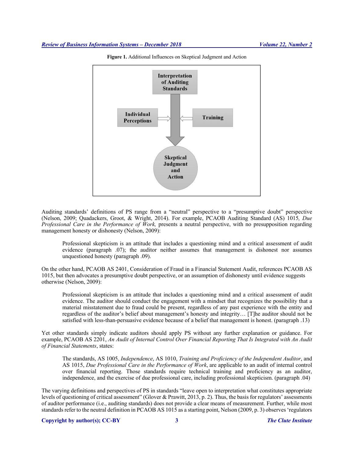

**Figure 1.** Additional Influences on Skeptical Judgment and Action

Auditing standards' definitions of PS range from a "neutral" perspective to a "presumptive doubt" perspective (Nelson, 2009; Quadackers, Groot, & Wright, 2014). For example, PCAOB Auditing Standard (AS) 1015*, Due Professional Care in the Performance of Work,* presents a neutral perspective, with no presupposition regarding management honesty or dishonesty (Nelson, 2009):

Professional skepticism is an attitude that includes a questioning mind and a critical assessment of audit evidence (paragraph .07); the auditor neither assumes that management is dishonest nor assumes unquestioned honesty (paragraph .09).

On the other hand, PCAOB AS 2401, Consideration of Fraud in a Financial Statement Audit, references PCAOB AS 1015, but then advocates a presumptive doubt perspective, or an assumption of dishonesty until evidence suggests otherwise (Nelson, 2009):

Professional skepticism is an attitude that includes a questioning mind and a critical assessment of audit evidence. The auditor should conduct the engagement with a mindset that recognizes the possibility that a material misstatement due to fraud could be present, regardless of any past experience with the entity and regardless of the auditor's belief about management's honesty and integrity… [T]he auditor should not be satisfied with less-than-persuasive evidence because of a belief that management is honest. (paragraph .13)

Yet other standards simply indicate auditors should apply PS without any further explanation or guidance. For example, PCAOB AS 2201, *An Audit of Internal Control Over Financial Reporting That Is Integrated with An Audit of Financial Statements*, states:

The standards, AS 1005, *Independence*, AS 1010, *Training and Proficiency of the Independent Auditor*, and AS 1015, *Due Professional Care in the Performance of Work*, are applicable to an audit of internal control over financial reporting. Those standards require technical training and proficiency as an auditor, independence, and the exercise of due professional care, including professional skepticism. (paragraph .04)

The varying definitions and perspectives of PS in standards "leave open to interpretation what constitutes appropriate levels of questioning of critical assessment" (Glover & Prawitt, 2013, p. 2). Thus, the basis for regulators' assessments of auditor performance (i.e., auditing standards) does not provide a clear means of measurement. Further, while most standards refer to the neutral definition in PCAOB AS 1015 as a starting point, Nelson (2009, p. 3) observes 'regulators

#### **Copyright by author(s); CC-BY 3** *The Clute Institute*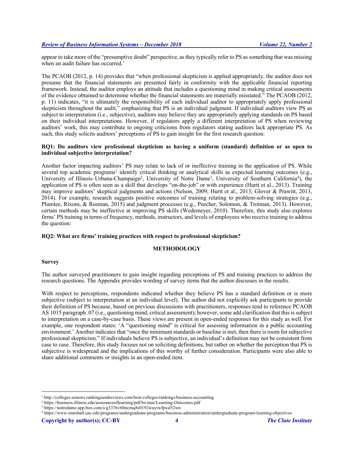appear to take more of the "presumptive doubt" perspective, as they typically refer to PS as something that was missing when an audit failure has occurred.'

The PCAOB (2012, p. 14) provides that "when professional skepticism is applied appropriately, the auditor does not presume that the financial statements are presented fairly in conformity with the applicable financial reporting framework. Instead, the auditor employs an attitude that includes a questioning mind in making critical assessments of the evidence obtained to determine whether the financial statements are materially misstated." The PCAOB (2012, p. 11) indicates, "it is ultimately the responsibility of each individual auditor to appropriately apply professional skepticism throughout the audit," emphasizing that PS is an individual judgment. If individual auditors view PS as subject to interpretation (i.e., subjective), auditors may believe they are appropriately applying standards on PS based on their individual interpretations. However, if regulators apply a different interpretation of PS when reviewing auditors' work, this may contribute to ongoing criticisms from regulators stating auditors lack appropriate PS. As such, this study solicits auditors' perceptions of PS to gain insight for the first research question:

# **RQ1: Do auditors view professional skepticism as having a uniform (standard) definition or as open to individual subjective interpretation?**

Another factor impacting auditors' PS may relate to lack of or ineffective training in the application of PS. While several top academic programs<sup>1</sup> identify critical thinking or analytical skills as expected learning outcomes (e.g., University of Illinois–Urbana-Champaign2, University of Notre Dame3, University of Southern California4), the application of PS is often seen as a skill that develops "on-the-job" or with experience (Hurtt et al., 2013). Training may improve auditors' skeptical judgments and actions (Nelson, 2009; Hurtt et al., 2013; Glover & Prawitt, 2013, 2014). For example, research suggests positive outcomes of training relating to problem-solving strategies (e.g., Plumlee, Rixom, & Rosman, 2015) and judgment processes (e.g., Peecher, Solomon, & Trotman, 2013). However, certain methods may be ineffective at improving PS skills (Wedemeyer, 2010). Therefore, this study also explores firms' PS training in terms of frequency, methods, instructors, and levels of employees who receive training to address the question:

# **RQ2: What are firms' training practices with respect to professional skepticism?**

#### **METHODOLOGY**

#### **Survey**

The author surveyed practitioners to gain insight regarding perceptions of PS and training practices to address the research questions. The Appendix provides wording of survey items that the author discusses in the results.

With respect to perceptions, respondents indicated whether they believe PS has a standard definition or is more subjective (subject to interpretation at an individual level). The author did not explicitly ask participants to provide their definition of PS because, based on previous discussions with practitioners, responses tend to reference PCAOB AS 1015 paragraph .07 (i.e., questioning mind, critical assessment); however, some add clarification that this is subject to interpretation on a case-by-case basis. These views are present in open-ended responses for this study as well. For example, one respondent states: 'A "questioning mind" is critical for assessing information in a public accounting environment.' Another indicates that "once the minimum standards or baseline is met, then there is room for subjective professional skepticism." If individuals believe PS is subjective, an individual's definition may not be consistent from case to case. Therefore, this study focuses not on soliciting definitions, but rather on whether the perception that PS is subjective is widespread and the implications of this worthy of further consideration. Participants were also able to share additional comments or insights in an open-ended item.

 <sup>1</sup> http://colleges.usnews.rankingsandreviews.com/best-colleges/rankings/business-accounting

<sup>2</sup> https://business.illinois.edu/assuranceoflearning/pdf/bs-mas/Learning-Outcomes.pdf

<sup>3</sup> https://notredame.app.box.com/s/g3376v6fmcmq8s0192wuyiwfpxsl52wn

<sup>4</sup> https://www.marshall.usc.edu/programs/undergraduate-programs/business-administration/undergraduate-program-learning-objectives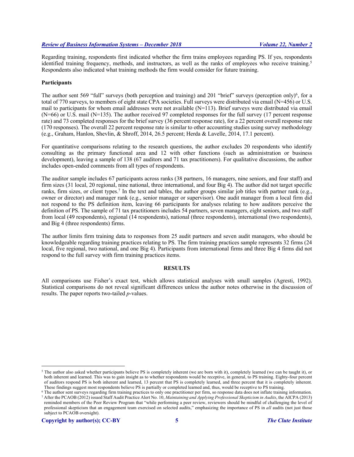Regarding training, respondents first indicated whether the firm trains employees regarding PS. If yes, respondents identified training frequency, methods, and instructors, as well as the ranks of employees who receive training.<sup>5</sup> Respondents also indicated what training methods the firm would consider for future training.

# **Participants**

The author sent 569 "full" surveys (both perception and training) and 201 "brief" surveys (perception only)<sup>6</sup>, for a total of 770 surveys, to members of eight state CPA societies. Full surveys were distributed via email (N=456) or U.S. mail to participants for whom email addresses were not available  $(N=113)$ . Brief surveys were distributed via email (N=66) or U.S. mail (N=135). The author received 97 completed responses for the full survey (17 percent response rate) and 73 completed responses for the brief survey (36 percent response rate), for a 22 percent overall response rate (170 responses). The overall 22 percent response rate is similar to other accounting studies using survey methodology (e.g., Graham, Hanlon, Shevlin, & Shroff, 2014, 26.5 percent; Herda & Lavelle, 2014, 17.1 percent).

For quantitative comparisons relating to the research questions, the author excludes 20 respondents who identify consulting as the primary functional area and 12 with other functions (such as administration or business development), leaving a sample of 138 (67 auditors and 71 tax practitioners). For qualitative discussions, the author includes open-ended comments from all types of respondents.

The auditor sample includes 67 participants across ranks (38 partners, 16 managers, nine seniors, and four staff) and firm sizes (31 local, 20 regional, nine national, three international, and four Big 4). The author did not target specific ranks, firm sizes, or client types.7 In the text and tables, the author groups similar job titles with partner rank (e.g., owner or director) and manager rank (e.g., senior manager or supervisor). One audit manager from a local firm did not respond to the PS definition item, leaving 66 participants for analyses relating to how auditors perceive the definition of PS. The sample of 71 tax practitioners includes 54 partners, seven managers, eight seniors, and two staff from local (49 respondents), regional (14 respondents), national (three respondents), international (two respondents), and Big 4 (three respondents) firms.

The author limits firm training data to responses from 25 audit partners and seven audit managers, who should be knowledgeable regarding training practices relating to PS. The firm training practices sample represents 32 firms (24 local, five regional, two national, and one Big 4). Participants from international firms and three Big 4 firms did not respond to the full survey with firm training practices items.

#### **RESULTS**

All comparisons use Fisher's exact test, which allows statistical analyses with small samples (Agresti, 1992). Statistical comparisons do not reveal significant differences unless the author notes otherwise in the discussion of results. The paper reports two-tailed *p*-values.

<sup>&</sup>lt;sup>5</sup> The author also asked whether participants believe PS is completely inherent (we are born with it), completely learned (we can be taught it), or both inherent and learned. This was to gain insight as to whether respondents would be receptive, in general, to PS training. Eighty-four percent of auditors respond PS is both inherent and learned, 13 percent that PS is completely learned, and three percent that it is completely inherent. These findings suggest most respondents believe PS is partially or completed learned and, thus, would be receptive to PS training.

<sup>6</sup> The author sent surveys regarding firm training practices to only one practitioner per firm, so response data does not inflate training information. <sup>7</sup> After the PCAOB (2012) issued Staff Audit Practice Alert No. 10, *Maintaining and Applying Professional Skepticism in Audits*, the AICPA (2013) reminded members of the Peer Review Program that "while performing a peer review, reviewers should be mindful of challenging the level of professional skepticism that an engagement team exercised on selected audits," emphasizing the importance of PS in *all* audits (not just those subject to PCAOB oversight).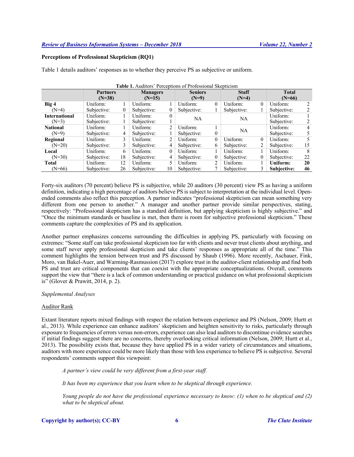# **Perceptions of Professional Skepticism (RQ1)**

Table 1 details auditors' responses as to whether they perceive PS as subjective or uniform.

|                      | <b>Partners</b> |    | <b>rapit 1.</b> Additions Teleconons of Floressional SKepheishi<br><b>Managers</b> |                | <b>Seniors</b> |                | <b>Staff</b> |          | <b>Total</b> |    |
|----------------------|-----------------|----|------------------------------------------------------------------------------------|----------------|----------------|----------------|--------------|----------|--------------|----|
|                      | $(N=38)$        |    | $(N=9)$<br>$(N=15)$                                                                |                | $(N=4)$        |                | $(N=66)$     |          |              |    |
| Big 4                | Uniform:        |    | Uniform:                                                                           |                | Uniform:       | $\overline{0}$ | Uniform:     | 0        | Uniform:     |    |
| $(N=4)$              | Subjective:     | 0  | Subjective:                                                                        |                | Subjective:    |                | Subjective:  |          | Subjective:  | 2  |
| <b>International</b> | Uniform:        |    | Uniform:                                                                           |                | NA             |                | NA           |          | Uniform:     |    |
| $(N=3)$              | Subjective:     |    | Subjective:                                                                        |                |                |                |              |          | Subjective:  |    |
| <b>National</b>      | Uniform:        |    | Uniform:                                                                           | $\mathfrak{D}$ | Uniform:       |                |              |          | Uniform:     | 4  |
| $(N=9)$              | Subjective:     | 4  | Subjective:                                                                        |                | Subjective:    | $\overline{0}$ | NA           |          | Subjective:  |    |
| Regional             | Uniform:        | 3  | Uniform:                                                                           | 2              | Uniform:       | $\theta$       | Uniform:     | $\Omega$ | Uniform:     |    |
| $(N=20)$             | Subjective:     | 3  | Subjective:                                                                        | 4              | Subjective:    | 6              | Subjective:  |          | Subjective:  | 15 |
| Local                | Uniform:        | 6  | Uniform:                                                                           | $\Omega$       | Uniform:       |                | Uniform:     |          | Uniform:     | 8  |
| $(N=30)$             | Subjective:     | 18 | Subjective:                                                                        | 4              | Subjective:    | $\overline{0}$ | Subjective:  | $\Omega$ | Subjective:  | 22 |
| <b>Total</b>         | Uniform:        | 12 | Uniform:                                                                           |                | Uniform:       | 2              | Uniform:     |          | Uniform:     | 20 |
| $(N=66)$             | Subjective:     | 26 | Subjective:                                                                        | 10             | Subjective:    |                | Subjective:  |          | Subjective:  | 46 |

**Table 1.** Auditors' Perceptions of Professional Skepticism

Forty-six auditors (70 percent) believe PS is subjective, while 20 auditors (30 percent) view PS as having a uniform definition, indicating a high percentage of auditors believe PS is subject to interpretation at the individual level. Openended comments also reflect this perception. A partner indicates "professional skepticism can mean something very different from one person to another." A manager and another partner provide similar perspectives, stating, respectively: "Professional skepticism has a standard definition, but applying skepticism is highly subjective." and "Once the minimum standards or baseline is met, then there is room for subjective professional skepticism." These comments capture the complexities of PS and its application.

Another partner emphasizes concerns surrounding the difficulties in applying PS, particularly with focusing on extremes: "Some staff can take professional skepticism too far with clients and never trust clients about anything, and some staff never apply professional skepticism and take clients' responses as appropriate all of the time." This comment highlights the tension between trust and PS discussed by Shaub (1996). More recently, Aschauer, Fink, Moro, van Bakel-Auer, and Warming-Rasmussion (2017) explore trust in the auditor-client relationship and find both PS and trust are critical components that can coexist with the appropriate conceptualizations. Overall, comments support the view that "there is a lack of common understanding or practical guidance on what professional skepticism is" (Glover & Prawitt, 2014, p. 2).

#### *Supplemental Analyses*

# Auditor Rank

Extant literature reports mixed findings with respect the relation between experience and PS (Nelson, 2009; Hurtt et al., 2013). While experience can enhance auditors' skepticism and heighten sensitivity to risks, particularly through exposure to frequencies of errors versus non-errors, experience can also lead auditors to discontinue evidence searches if initial findings suggest there are no concerns, thereby overlooking critical information (Nelson, 2009; Hurtt et al., 2013). The possibility exists that, because they have applied PS in a wider variety of circumstances and situations, auditors with more experience could be more likely than those with less experience to believe PS is subjective. Several respondents' comments support this viewpoint:

*A partner's view could be very different from a first-year staff.*

*It has been my experience that you learn when to be skeptical through experience.*

*Young people do not have the professional experience necessary to know: (1) when to be skeptical and (2) what to be skeptical about.*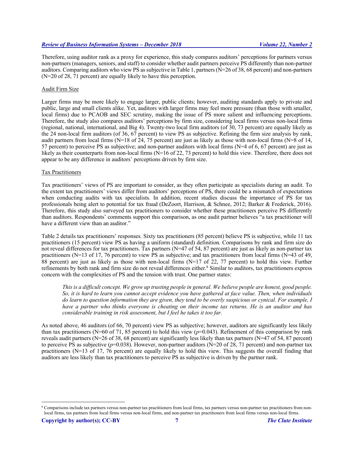Therefore, using auditor rank as a proxy for experience, this study compares auditors' perceptions for partners versus non-partners (managers, seniors, and staff) to consider whether audit partners perceive PS differently than non-partner auditors. Comparing auditors who view PS as subjective in Table 1, partners (N=26 of 38, 68 percent) and non-partners (N=20 of 28, 71 percent) are equally likely to have this perception.

# Audit Firm Size

Larger firms may be more likely to engage larger, public clients; however, auditing standards apply to private and public, large and small clients alike. Yet, auditors with larger firms may feel more pressure (than those with smaller, local firms) due to PCAOB and SEC scrutiny, making the issue of PS more salient and influencing perceptions. Therefore, the study also compares auditors' perceptions by firm size, considering local firms versus non-local firms (regional, national, international, and Big 4). Twenty-two local firm auditors (of 30, 73 percent) are equally likely as the 24 non-local firm auditors (of 36, 67 percent) to view PS as subjective. Refining the firm size analysis by rank, audit partners from local firms (N=18 of 24, 75 percent) are just as likely as those with non-local firms (N=8 of 14, 57 percent) to perceive PS as subjective; and non-partner auditors with local firms (N=4 of 6, 67 percent) are just as likely as their counterparts from non-local firms (N=16 of 22, 73 percent) to hold this view. Therefore, there does not appear to be any difference in auditors' perceptions driven by firm size.

#### Tax Practitioners

Tax practitioners' views of PS are important to consider, as they often participate as specialists during an audit. To the extent tax practitioners' views differ from auditors' perceptions of PS, there could be a mismatch of expectations when conducting audits with tax specialists. In addition, recent studies discuss the importance of PS for tax professionals being alert to potential for tax fraud (DeZoort, Harrison, & Schnee, 2012; Barker & Frederick, 2016). Therefore, this study also surveyed tax practitioners to consider whether these practitioners perceive PS differently than auditors. Respondents' comments support this comparison, as one audit partner believes "a tax practitioner will have a different view than an auditor."

Table 2 details tax practitioners' responses. Sixty tax practitioners (85 percent) believe PS is subjective, while 11 tax practitioners (15 percent) view PS as having a uniform (standard) definition. Comparisons by rank and firm size do not reveal differences for tax practitioners. Tax partners (N=47 of 54, 87 percent) are just as likely as non-partner tax practitioners (N=13 of 17, 76 percent) to view PS as subjective; and tax practitioners from local firms (N=43 of 49, 88 percent) are just as likely as those with non-local firms (N=17 of 22, 77 percent) to hold this view. Further refinements by both rank and firm size do not reveal differences either.8 Similar to auditors, tax practitioners express concern with the complexities of PS and the tension with trust. One partner states:

*This is a difficult concept. We grow up trusting people in general. We believe people are honest, good people. So, it is hard to learn you cannot accept evidence you have gathered at face value. Then, when individuals do learn to question information they are given, they tend to be overly suspicious or cynical. For example, I have a partner who thinks everyone is cheating on their income tax returns. He is an auditor and has considerable training in risk assessment, but I feel he takes it too far.*

As noted above, 46 auditors (of 66, 70 percent) view PS as subjective; however, auditors are significantly less likely than tax practitioners (N=60 of 71, 85 percent) to hold this view  $(p=0.043)$ . Refinement of this comparison by rank reveals audit partners ( $N=26$  of 38, 68 percent) are significantly less likely than tax partners ( $N=47$  of 54, 87 percent) to perceive PS as subjective  $(p=0.038)$ . However, non-partner auditors (N=20 of 28, 71 percent) and non-partner tax practitioners (N=13 of 17, 76 percent) are equally likely to hold this view. This suggests the overall finding that auditors are less likely than tax practitioners to perceive PS as subjective is driven by the partner rank.

 <sup>8</sup> Comparisons include tax partners versus non-partner tax practitioners from local firms, tax partners versus non-partner tax practitioners from nonlocal firms, tax partners from local firms versus non-local firms, and non-partner tax practitioners from local firms versus non-local firms.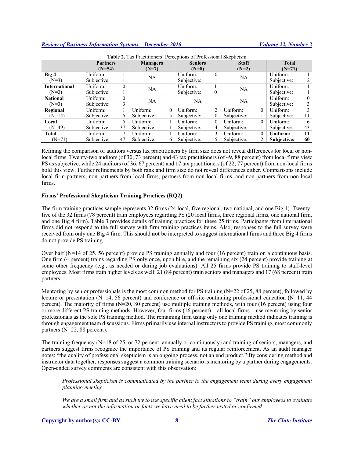| <b>Table 2.</b> Tax Practitioners' Perceptions of Professional Skepticism |                 |               |                 |              |                |                |              |             |              |    |
|---------------------------------------------------------------------------|-----------------|---------------|-----------------|--------------|----------------|----------------|--------------|-------------|--------------|----|
|                                                                           | <b>Partners</b> |               | <b>Managers</b> |              | <b>Seniors</b> |                | <b>Staff</b> |             | <b>Total</b> |    |
|                                                                           | $(N=54)$        |               | $(N=7)$         |              | $(N=8)$        |                | $(N=2)$      |             | $(N=71)$     |    |
| Big 4                                                                     | Uniform:        |               | <b>NA</b>       |              | Uniform:       | 0              | NA           |             | Uniform:     |    |
| $(N=3)$                                                                   | Subjective:     |               |                 |              | Subjective:    |                |              |             | Subjective:  |    |
| <b>International</b>                                                      | Uniform:        | $\Omega$      | NA              |              | Uniform:       |                | NA           |             | Uniform:     |    |
| $(N=2)$                                                                   | Subjective:     |               |                 |              | Subjective:    | 0              |              |             | Subjective:  |    |
| <b>National</b>                                                           | Uniform:        | $\theta$      | <b>NA</b>       |              | NA.            |                | NA           |             | Uniform:     |    |
| $(N=3)$                                                                   | Subjective:     | 3             |                 |              |                |                |              | Subjective: |              |    |
| Regional                                                                  | Uniform:        |               | Uniform:        | $\Omega$     | Uniform:       | $\overline{2}$ | Uniform:     | $\theta$    | Uniform:     |    |
| $(N=14)$                                                                  | Subjective:     | 5             | Subjective:     |              | Subjective:    | $\overline{0}$ | Subjective:  |             | Subjective:  | 11 |
| Local                                                                     | Uniform:        | 5             | Uniform:        |              | Uniform:       | $\theta$       | Uniform:     | $\theta$    | Uniform:     | 6  |
| $(N=49)$                                                                  | Subjective:     | 37            | Subjective:     |              | Subjective:    | 4              | Subjective:  |             | Subjective:  | 43 |
| <b>Total</b>                                                              | Uniform:        | $\mathcal{I}$ | Uniform:        |              | Uniform:       | 3              | Uniform:     | $\theta$    | Uniform:     | 11 |
| $(N=71)$                                                                  | Subjective:     | 47            | Subjective:     | <sub>b</sub> | Subjective:    |                | Subjective:  |             | Subjective:  | 60 |

Refining the comparison of auditors versus tax practitioners by firm size does not reveal differences for local or nonlocal firms. Twenty-two auditors (of 30, 73 percent) and 43 tax practitioners (of 49, 88 percent) from local firms view PS as subjective, while 24 auditors (of 36, 67 percent) and 17 tax practitioners (of 22, 77 percent) from non-local firms hold this view. Further refinements by both rank and firm size do not reveal differences either. Comparisons include local firm partners, non-partners from local firms, partners from non-local firms, and non-partners from non-local firms.

# **Firms' Professional Skepticism Training Practices (RQ2)**

The firm training practices sample represents 32 firms (24 local, five regional, two national, and one Big 4). Twentyfive of the 32 firms (78 percent) train employees regarding PS (20 local firms, three regional firms, one national firm, and one Big 4 firm). Table 3 provides details of training practices for these 25 firms. Participants from international firms did not respond to the full survey with firm training practices items. Also, responses to the full survey were received from only one Big 4 firm. This should **not** be interpreted to suggest international firms and three Big 4 firms do not provide PS training.

Over half (N=14 of 25, 56 percent) provide PS training annually and four (16 percent) train on a continuous basis. One firm (4 percent) trains regarding PS only once, upon hire, and the remaining six (24 percent) provide training at some other frequency (e.g., as needed or during job evaluations). All 25 firms provide PS training to staff-level employees. Most firms train higher levels as well: 21 (84 percent) train seniors and managers and 17 (68 percent) train partners.

Mentoring by senior professionals is the most common method for PS training (N=22 of 25, 88 percent), followed by lecture or presentation (N=14, 56 percent) and conference or off-site continuing professional education (N=11, 44 percent). The majority of firms (N=20, 80 percent) use multiple training methods, with four (16 percent) using four or more different PS training methods. However, four firms (16 percent) – all local firms – use mentoring by senior professionals as the sole PS training method. The remaining firm using only one training method indicates training is through engagement team discussions. Firms primarily use internal instructors to provide PS training, most commonly partners (N=22, 88 percent).

The training frequency (N=18 of 25, or 72 percent, annually or continuously) and training of seniors, managers, and partners suggest firms recognize the importance of PS training and its regular reinforcement. As an audit manager notes: "the quality of professional skepticism is an ongoing process, not an end product." By considering method and instructor data together, responses suggest a common training scenario is mentoring by a partner during engagements. Open-ended survey comments are consistent with this observation:

*Professional skepticism is communicated by the partner to the engagement team during every engagement planning meeting.*

*We are a small firm and as such try to use specific client fact situations to "train" our employees to evaluate whether or not the information or facts we have need to be further tested or confirmed.*

#### **Copyright by author(s); CC-BY 8** *The Clute Institute*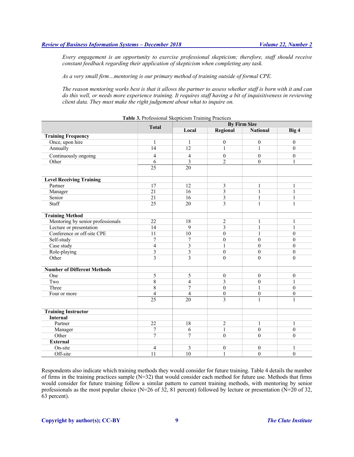*Every engagement is an opportunity to exercise professional skepticism; therefore, staff should receive constant feedback regarding their application of skepticism when completing any task.*

*As a very small firm…mentoring is our primary method of training outside of formal CPE.*

*The reason mentoring works best is that it allows the partner to assess whether staff is born with it and can do this well, or needs more experience training. It requires staff having a bit of inquisitiveness in reviewing client data. They must make the right judgement about what to inquire on.*

|                                    |                 | <b>By Firm Size</b>     |                         |                  |                  |  |  |  |
|------------------------------------|-----------------|-------------------------|-------------------------|------------------|------------------|--|--|--|
|                                    | <b>Total</b>    | Local                   | Regional                | <b>National</b>  | Big 4            |  |  |  |
| <b>Training Frequency</b>          |                 |                         |                         |                  |                  |  |  |  |
| Once, upon hire                    | $\mathbf{1}$    | $\mathbf{1}$            | $\mathbf{0}$            | $\overline{0}$   | $\mathbf{0}$     |  |  |  |
| Annually                           | 14              | 12                      | $\mathbf{1}$            | 1                | $\theta$         |  |  |  |
| Continuously ongoing               | 4               | $\overline{4}$          | $\mathbf{0}$            | $\mathbf{0}$     | $\theta$         |  |  |  |
| Other                              | 6               | 3                       | $\overline{2}$          | $\overline{0}$   | $\mathbf{1}$     |  |  |  |
|                                    | $\overline{25}$ | 20                      |                         |                  |                  |  |  |  |
| <b>Level Receiving Training</b>    |                 |                         |                         |                  |                  |  |  |  |
| Partner                            | 17              | 12                      | $\overline{\mathbf{3}}$ | $\mathbf{1}$     | 1                |  |  |  |
| Manager                            | $\overline{21}$ | 16                      | 3                       | 1                | $\mathbf{1}$     |  |  |  |
| Senior                             | $\overline{21}$ | 16                      | $\overline{\mathbf{3}}$ | 1                | 1                |  |  |  |
| Staff                              | $\overline{25}$ | 20                      | $\overline{3}$          | 1                | $\mathbf{1}$     |  |  |  |
| <b>Training Method</b>             |                 |                         |                         |                  |                  |  |  |  |
| Mentoring by senior professionals  | 22              | 18                      | 2                       | 1                | 1                |  |  |  |
| Lecture or presentation            | 14              | 9                       | 3                       | $\mathbf{1}$     | $\mathbf{1}$     |  |  |  |
| Conference or off-site CPE         | 11              | 10                      | $\mathbf{0}$            | 1                | $\theta$         |  |  |  |
| Self-study                         | $\overline{7}$  | 7                       | $\mathbf{0}$            | $\boldsymbol{0}$ | $\theta$         |  |  |  |
| Case study                         | $\overline{4}$  | 3                       | $\mathbf{1}$            | $\mathbf{0}$     | $\theta$         |  |  |  |
| Role-playing                       | $\overline{3}$  | 3                       | $\mathbf{0}$            | $\mathbf{0}$     | $\boldsymbol{0}$ |  |  |  |
| Other                              | $\overline{3}$  | 3                       | $\theta$                | $\theta$         | $\Omega$         |  |  |  |
| <b>Number of Different Methods</b> |                 |                         |                         |                  |                  |  |  |  |
| One                                | 5               | 5                       | $\boldsymbol{0}$        | $\boldsymbol{0}$ | $\boldsymbol{0}$ |  |  |  |
| Two                                | 8               | $\overline{\mathbf{4}}$ | 3                       | $\theta$         | $\mathbf{1}$     |  |  |  |
| Three                              | 8               | $\overline{7}$          | $\mathbf{0}$            | 1                | $\theta$         |  |  |  |
| Four or more                       | $\overline{4}$  | $\overline{4}$          | $\boldsymbol{0}$        | $\overline{0}$   | $\boldsymbol{0}$ |  |  |  |
|                                    | $\overline{25}$ | 20                      | $\overline{3}$          | $\mathbf{1}$     | $\mathbf{1}$     |  |  |  |
|                                    |                 |                         |                         |                  |                  |  |  |  |
| <b>Training Instructor</b>         |                 |                         |                         |                  |                  |  |  |  |
| <b>Internal</b>                    |                 |                         |                         |                  |                  |  |  |  |
| Partner                            | 22              | 18                      | 2                       | 1                | 1                |  |  |  |
| Manager                            | $\tau$          | 6                       | $\mathbf{1}$            | $\overline{0}$   | $\mathbf{0}$     |  |  |  |
| Other                              | $\overline{7}$  | $\overline{7}$          | $\mathbf{0}$            | $\theta$         | $\theta$         |  |  |  |
| <b>External</b>                    |                 |                         |                         |                  |                  |  |  |  |
| On-site                            | $\overline{4}$  | 3                       | $\boldsymbol{0}$        | $\mathbf{0}$     | 1                |  |  |  |
| Off-site                           | 11              | 10                      | $\mathbf{1}$            | $\theta$         | $\mathbf{0}$     |  |  |  |

**Table 3.** Professional Skepticism Training Practices

Respondents also indicate which training methods they would consider for future training. Table 4 details the number of firms in the training practices sample  $(N=32)$  that would consider each method for future use. Methods that firms would consider for future training follow a similar pattern to current training methods, with mentoring by senior professionals as the most popular choice (N=26 of 32, 81 percent) followed by lecture or presentation (N=20 of 32, 63 percent).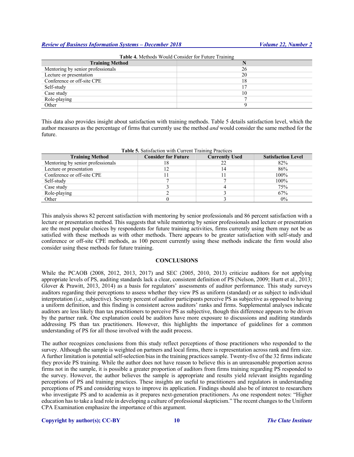| <b>Table 4.</b> Methods Would Consider for Future Training |    |  |  |  |  |
|------------------------------------------------------------|----|--|--|--|--|
| <b>Training Method</b>                                     |    |  |  |  |  |
| Mentoring by senior professionals                          | 26 |  |  |  |  |
| Lecture or presentation                                    | 20 |  |  |  |  |
| Conference or off-site CPE                                 | 18 |  |  |  |  |
| Self-study                                                 |    |  |  |  |  |
| Case study                                                 | 10 |  |  |  |  |
| Role-playing                                               |    |  |  |  |  |
| Other                                                      |    |  |  |  |  |

This data also provides insight about satisfaction with training methods. Table 5 details satisfaction level, which the author measures as the percentage of firms that currently use the method *and* would consider the same method for the future.

| <b>Table 5.</b> Satisfaction with Current Training Practices |                            |                       |                           |  |  |  |  |
|--------------------------------------------------------------|----------------------------|-----------------------|---------------------------|--|--|--|--|
| <b>Training Method</b>                                       | <b>Consider for Future</b> | <b>Currently Used</b> | <b>Satisfaction Level</b> |  |  |  |  |
| Mentoring by senior professionals                            | 18                         | 22                    | 82%                       |  |  |  |  |
| Lecture or presentation                                      |                            | 14                    | 86%                       |  |  |  |  |
| Conference or off-site CPE                                   |                            |                       | 100%                      |  |  |  |  |
| Self-study                                                   |                            |                       | 100%                      |  |  |  |  |
| Case study                                                   |                            |                       | 75%                       |  |  |  |  |
| Role-playing                                                 |                            |                       | 67%                       |  |  |  |  |
| Other                                                        |                            |                       | $0\%$                     |  |  |  |  |

**Table 5.** Satisfaction with Current Training Practices

This analysis shows 82 percent satisfaction with mentoring by senior professionals and 86 percent satisfaction with a lecture or presentation method. This suggests that while mentoring by senior professionals and lecture or presentation are the most popular choices by respondents for future training activities, firms currently using them may not be as satisfied with these methods as with other methods. There appears to be greater satisfaction with self-study and conference or off-site CPE methods, as 100 percent currently using these methods indicate the firm would also consider using these methods for future training.

#### **CONCLUSIONS**

While the PCAOB (2008, 2012, 2013, 2017) and SEC (2005, 2010, 2013) criticize auditors for not applying appropriate levels of PS, auditing standards lack a clear, consistent definition of PS (Nelson, 2009; Hurtt et al., 2013; Glover & Prawitt, 2013, 2014) as a basis for regulators' assessments of auditor performance. This study surveys auditors regarding their perceptions to assess whether they view PS as uniform (standard) or as subject to individual interpretation (i.e., subjective). Seventy percent of auditor participants perceive PS as subjective as opposed to having a uniform definition, and this finding is consistent across auditors' ranks and firms. Supplemental analyses indicate auditors are less likely than tax practitioners to perceive PS as subjective, though this difference appears to be driven by the partner rank. One explanation could be auditors have more exposure to discussions and auditing standards addressing PS than tax practitioners. However, this highlights the importance of guidelines for a common understanding of PS for all those involved with the audit process.

The author recognizes conclusions from this study reflect perceptions of those practitioners who responded to the survey. Although the sample is weighted on partners and local firms, there is representation across rank and firm size. A further limitation is potential self-selection bias in the training practices sample. Twenty-five of the 32 firms indicate they provide PS training. While the author does not have reason to believe this is an unreasonable proportion across firms not in the sample, it is possible a greater proportion of auditors from firms training regarding PS responded to the survey. However, the author believes the sample is appropriate and results yield relevant insights regarding perceptions of PS and training practices. These insights are useful to practitioners and regulators in understanding perceptions of PS and considering ways to improve its application. Findings should also be of interest to researchers who investigate PS and to academia as it prepares next-generation practitioners. As one respondent notes: "Higher education has to take a lead role in developing a culture of professional skepticism." The recent changes to the Uniform CPA Examination emphasize the importance of this argument.

#### **Copyright by author(s); CC-BY 10** *The Clute Institute*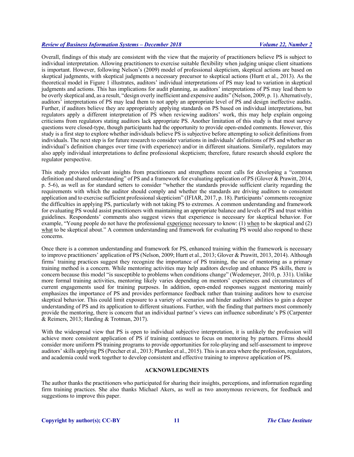Overall, findings of this study are consistent with the view that the majority of practitioners believe PS is subject to individual interpretation. Allowing practitioners to exercise suitable flexibility when judging unique client situations is important. However, following Nelson's (2009) model of professional skepticism, skeptical actions are based on skeptical judgments, with skeptical judgments a necessary precursor to skeptical actions (Hurtt et al., 2013). As the theoretical model in Figure 1 illustrates, auditors' individual interpretations of PS may lead to variation in skeptical judgments and actions. This has implications for audit planning, as auditors' interpretations of PS may lead them to be overly skeptical and, as a result, "design overly inefficient and expensive audits" (Nelson, 2009, p. 1). Alternatively, auditors' interpretations of PS may lead them to not apply an appropriate level of PS and design ineffective audits. Further, if auditors believe they are appropriately applying standards on PS based on individual interpretations, but regulators apply a different interpretation of PS when reviewing auditors' work, this may help explain ongoing criticisms from regulators stating auditors lack appropriate PS. Another limitation of this study is that most survey questions were closed-type, though participants had the opportunity to provide open-ended comments. However, this study is a first step to explore whether individuals believe PS is subjective before attempting to solicit definitions from individuals. The next step is for future research to consider variations in individuals' definitions of PS and whether an individual's definition changes over time (with experience) and/or in different situations. Similarly, regulators may also apply individual interpretations to define professional skepticism; therefore, future research should explore the regulator perspective.

This study provides relevant insights from practitioners and strengthens recent calls for developing a "common definition and shared understanding" of PS and a framework for evaluating application of PS (Glover & Prawitt, 2014, p. 5-6), as well as for standard setters to consider "whether the standards provide sufficient clarity regarding the requirements with which the auditor should comply and whether the standards are driving auditors to consistent application and to exercise sufficient professional skepticism" (IFIAR, 2017, p. 18). Participants' comments recognize the difficulties in applying PS, particularly with not taking PS to extremes. A common understanding and framework for evaluating PS would assist practitioners with maintaining an appropriate balance and levels of PS and trust within guidelines. Respondents' comments also suggest views that experience is necessary for skeptical behavior. For example, "Young people do not have the professional experience necessary to know: (1) when to be skeptical and (2) what to be skeptical about." A common understanding and framework for evaluating PS would also respond to these concerns.

Once there is a common understanding and framework for PS, enhanced training within the framework is necessary to improve practitioners' application of PS (Nelson, 2009; Hurtt et al., 2013; Glover & Prawitt, 2013, 2014). Although firms' training practices suggest they recognize the importance of PS training, the use of mentoring as a primary training method is a concern. While mentoring activities may help auditors develop and enhance PS skills, there is concern because this model "is susceptible to problems when conditions change" (Wedemeyer, 2010, p. 331). Unlike more formal training activities, mentoring likely varies depending on mentors' experiences and circumstances of current engagements used for training purposes. In addition, open-ended responses suggest mentoring mainly emphasizes the importance of PS and provides performance feedback rather than training auditors how to exercise skeptical behavior. This could limit exposure to a variety of scenarios and hinder auditors' abilities to gain a deeper understanding of PS and its application to different situations. Further, with the finding that partners most commonly provide the mentoring, there is concern that an individual partner's views can influence subordinate's PS (Carpenter & Reimers, 2013; Harding & Trotman, 2017).

With the widespread view that PS is open to individual subjective interpretation, it is unlikely the profession will achieve more consistent application of PS if training continues to focus on mentoring by partners. Firms should consider more uniform PS training programs to provide opportunities for role-playing and self-assessment to improve auditors' skills applying PS (Peecher et al., 2013; Plumlee et al., 2015). This is an area where the profession, regulators, and academia could work together to develop consistent and effective training to improve application of PS.

#### **ACKNOWLEDGMENTS**

The author thanks the practitioners who participated for sharing their insights, perceptions, and information regarding firm training practices. She also thanks Michael Akers, as well as two anonymous reviewers, for feedback and suggestions to improve this paper.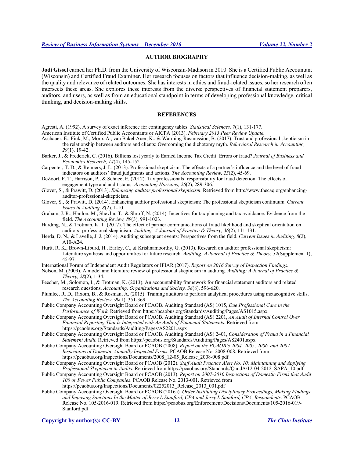# **AUTHOR BIOGRAPHY**

**Jodi Gissel** earned her Ph.D. from the University of Wisconsin-Madison in 2010. She is a Certified Public Accountant (Wisconsin) and Certified Fraud Examiner. Her research focuses on factors that influence decision-making, as well as the quality and relevance of related outcomes. She has interests in ethics and fraud-related issues, so her research often intersects these areas. She explores these interests from the diverse perspectives of financial statement preparers, auditors, and users, as well as from an educational standpoint in terms of developing professional knowledge, critical thinking, and decision-making skills.

#### **REFERENCES**

- Agresti, A. (1992). A survey of exact inference for contingency tables. *Statistical Sciences, 7*(1), 131-177.
- American Institute of Certified Public Accountants or AICPA (2013). *February 2013 Peer Review Update.*
- Aschauer, E., Fink, M., Moro, A., van Bakel-Auer, K., & Warming-Rasmussion, B. (2017). Trust and professional skepticism in the relationship between auditors and clients: Overcoming the dichotomy myth. *Behavioral Research in Accounting, 29*(1), 19-42.
- Barker, J., & Frederick, C. (2016). Billions lost yearly to Earned Income Tax Credit: Errors or fraud? *Journal of Business and Economics Research, 14*(4), 145-152.
- Carpenter, T. D., & Reimers, J. L. (2013). Professional skepticism: The effects of a partner's influence and the level of fraud indicators on auditors' fraud judgments and actions. *The Accounting Review, 25*(2), 45-69.
- DeZoort, F. T., Harrison, P., & Schnee, E. (2012). Tax professionals' responsibility for fraud detection: The effects of engagement type and audit status. *Accounting Horizons, 26*(2), 289-306.
- Glover, S., & Prawitt, D. (2013). *Enhancing auditor professional skepticism*. Retrieved from http://www.thecaq.org/enhancingauditor-professional-skepticism.
- Glover, S., & Prawitt, D. (2014). Enhancing auditor professional skepticism: The professional skepticism continuum. *Current Issues in Auditing, 8*(2), 1-10.
- Graham, J. R., Hanlon, M., Shevlin, T., & Shroff, N. (2014). Incentives for tax planning and tax avoidance: Evidence from the field. *The Accounting Review, 89*(3), 991-1023.
- Harding, N., & Trotman, K. T. (2017). The effect of partner communications of fraud likelihood and skeptical orientation on auditors' professional skepticism. *Auditing: A Journal of Practice & Theory, 36*(2), 111-131.
- Herda, D. N., & Lavelle, J. J. (2014). Auditing subsequent events: Perspectives from the field. *Current Issues in Auditing, 8*(2), A10-A24.
- Hurtt, R. K., Brown-Liburd, H., Earley, C., & Krishnamoorthy, G. (2013). Research on auditor professional skepticism: Literature synthesis and opportunities for future research. *Auditing: A Journal of Practice & Theory, 32*(Supplement 1), 45-97.

International Forum of Independent Audit Regulators or IFIAR (2017). *Report on 2016 Survey of Inspection Findings*.

- Nelson, M. (2009). A model and literature review of professional skepticism in auditing. *Auditing: A Journal of Practice & Theory, 28*(2), 1-34.
- Peecher, M., Solomon, I., & Trotman, K. (2013). An accountability framework for financial statement auditors and related research questions. *Accounting, Organizations and Society, 38*(8), 596-620.
- Plumlee, R. D., Rixom, B., & Rosman, A. (2015). Training auditors to perform analytical procedures using metacognitive skills. *The Accounting Review, 90*(1), 351-369.
- Public Company Accounting Oversight Board or PCAOB. Auditing Standard (AS) 1015, *Due Professional Care in the Performance of Work.* Retrieved from https://pcaobus.org/Standards/Auditing/Pages/AS1015.aspx
- Public Company Accounting Oversight Board or PCAOB. Auditing Standard (AS) 2201, *An Audit of Internal Control Over Financial Reporting That Is Integrated with An Audit of Financial Statements.* Retrieved from https://pcaobus.org/Standards/Auditing/Pages/AS2201.aspx
- Public Company Accounting Oversight Board or PCAOB. Auditing Standard (AS) 2401, *Consideration of Fraud in a Financial Statement Audit.* Retrieved from https://pcaobus.org/Standards/Auditing/Pages/AS2401.aspx
- Public Company Accounting Oversight Board or PCAOB (2008). *Report on the PCAOB's 2004, 2005, 2006, and 2007 Inspections of Domestic Annually Inspected Firms*. PCAOB Release No. 2008-008. Retrieved from https://pcaobus.org/Inspections/Documents/2008\_12-05\_Release\_2008-008.pdf
- Public Company Accounting Oversight Board or PCAOB (2012). *Staff Audit Practice Alert No. 10: Maintaining and Applying Professional Skepticism in Audits*. Retrieved from https://pcaobus.org/Standards/QandA/12-04-2012\_SAPA\_10.pdf
- Public Company Accounting Oversight Board or PCAOB (2013). *Report on 2007-2010 Inspections of Domestic Firms that Audit 100 or Fewer Public Companies*. PCAOB Release No. 2013-001. Retrieved from
	- https://pcaobus.org/Inspections/Documents/02252013\_Release\_2013\_001.pdf
- Public Company Accounting Oversight Board or PCAOB (2016a). *Order Instituting Disciplinary Proceedings, Making Findings, and Imposing Sanctions In the Matter of Jerry L Stanford, CPA and Jerry L Stanford, CPA, Respondents*. PCAOB Release No. 105-2016-019. Retrieved from https://pcaobus.org/Enforcement/Decisions/Documents/105-2016-019- Stanford.pdf

**Copyright by author(s); CC-BY 12** *The Clute Institute*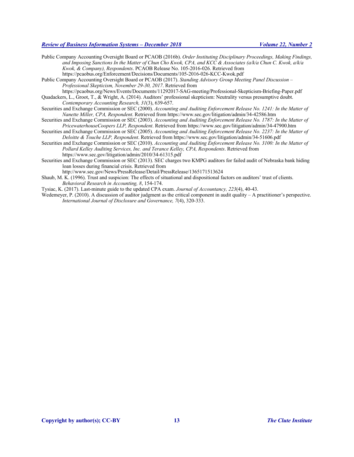Public Company Accounting Oversight Board or PCAOB (2016b). *Order Instituting Disciplinary Proceedings, Making Findings, and Imposing Sanctions In the Matter of Chun Cho Kwok, CPA, and KCC & Associates (a/k/a Chun C. Kwok, a/k/a Kwok, & Company), Respondents*. PCAOB Release No. 105-2016-026. Retrieved from https://pcaobus.org/Enforcement/Decisions/Documents/105-2016-026-KCC-Kwok.pdf

Public Company Accounting Oversight Board or PCAOB (2017). *Standing Advisory Group Meeting Panel Discussion – Professional Skepticism, November 29-30, 2017*. Retrieved from

https://pcaobus.org/News/Events/Documents/11292017-SAG-meeting/Professional-Skepticism-Briefing-Paper.pdf Quadackers, L., Groot, T., & Wright, A. (2014). Auditors' professional skepticism: Neutrality versus presumptive doubt. *Contemporary Accounting Research, 31*(3), 639-657.

Securities and Exchange Commission or SEC (2000). *Accounting and Auditing Enforcement Release No. 1241: In the Matter of Nanette Miller, CPA, Respondent*. Retrieved from https://www.sec.gov/litigation/admin/34-42586.htm

- Securities and Exchange Commission or SEC (2003). *Accounting and Auditing Enforcement Release No. 1787: In the Matter of PricewaterhouseCoopers LLP, Respondent*. Retrieved from https://www.sec.gov/litigation/admin/34-47900.htm
- Securities and Exchange Commission or SEC (2005). *Accounting and Auditing Enforcement Release No. 2237: In the Matter of Deloitte & Touche LLP, Respondent*. Retrieved from https://www.sec.gov/litigation/admin/34-51606.pdf
- Securities and Exchange Commission or SEC (2010). *Accounting and Auditing Enforcement Release No. 3100: In the Matter of Pollard Kelley Auditing Services, Inc. and Terance Kelley, CPA, Respondents*. Retrieved from https://www.sec.gov/litigation/admin/2010/34-61315.pdf

Securities and Exchange Commission or SEC (2013). SEC charges two KMPG auditors for failed audit of Nebraska bank hiding loan losses during financial crisis. Retrieved from

http://www.sec.gov/News/PressRelease/Detail/PressRelease/1365171513624

Shaub, M. K. (1996). Trust and suspicion: The effects of situational and dispositional factors on auditors' trust of clients. *Behavioral Research in Accounting, 8*, 154-174.

Tysiac, K. (2017). Last-minute guide to the updated CPA exam. *Journal of Accountancy, 223*(4), 40-43.

Wedemeyer, P. (2010). A discussion of auditor judgment as the critical component in audit quality – A practitioner's perspective. *International Journal of Disclosure and Governance, 7*(4), 320-333.